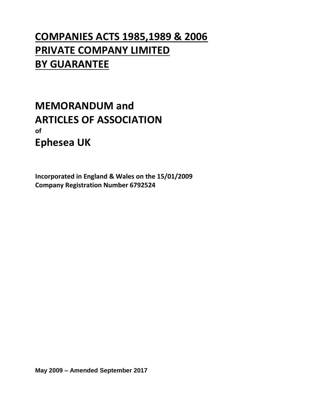# **COMPANIES ACTS 1985,1989 & 2006 PRIVATE COMPANY LIMITED BY GUARANTEE**

# **MEMORANDUM and ARTICLES OF ASSOCIATION of Ephesea UK**

**Incorporated in England & Wales on the 15/01/2009 Company Registration Number 6792524**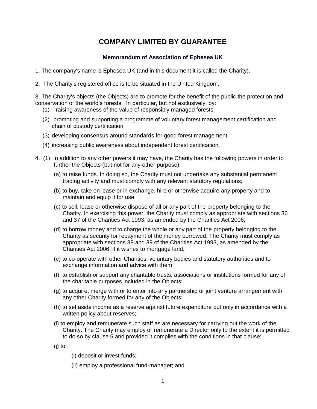# **COMPANY LIMITED BY GUARANTEE**

# **Memorandum of Association of Ephesea UK**

- 1. The company's name is Ephesea UK (and in this document it is called the Charity).
- 2. The Charity's registered office is to be situated in the United Kingdom.

3. The Charity's objects (the Objects) are to promote for the benefit of the public the protection and conservation of the world's forests. In particular, but not exclusively, by:

- (1) raising awareness of the value of responsibly managed forests
- (2) promoting and supporting a programme of voluntary forest management certification and chain of custody certification
- (3) developing consensus around standards for good forest management;
- (4) increasing public awareness about independent forest certification.
- 4. (1) In addition to any other powers it may have, the Charity has the following powers in order to further the Objects (but not for any other purpose):
	- (a) to raise funds. In doing so, the Charity must not undertake any substantial permanent trading activity and must comply with any relevant statutory regulations;
	- (b) to buy, take on lease or in exchange, hire or otherwise acquire any property and to maintain and equip it for use;
	- (c) to sell, lease or otherwise dispose of all or any part of the property belonging to the Charity. In exercising this power, the Charity must comply as appropriate with sections 36 and 37 of the Charities Act 1993, as amended by the Charities Act 2006;
	- (d) to borrow money and to charge the whole or any part of the property belonging to the Charity as security for repayment of the money borrowed. The Charity must comply as appropriate with sections 38 and 39 of the Charities Act 1993, as amended by the Charities Act 2006, if it wishes to mortgage land;
	- (e) to co-operate with other Charities, voluntary bodies and statutory authorities and to exchange information and advice with them;
	- (f) to establish or support any charitable trusts, associations or institutions formed for any of the charitable purposes included in the Objects;
	- (g) to acquire, merge with or to enter into any partnership or joint venture arrangement with any other Charity formed for any of the Objects;
	- (h) to set aside income as a reserve against future expenditure but only in accordance with a written policy about reserves;
	- (i) to employ and remunerate such staff as are necessary for carrying out the work of the Charity. The Charity may employ or remunerate a Director only to the extent it is permitted to do so by clause 5 and provided it complies with the conditions in that clause;

(j) to:

- (i) deposit or invest funds;
- (ii) employ a professional fund-manager; and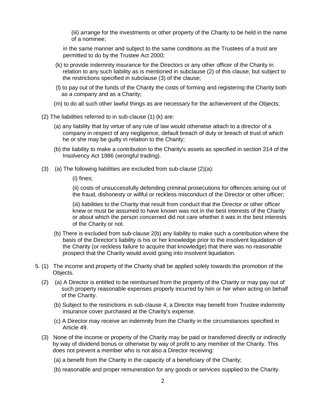(iii) arrange for the investments or other property of the Charity to be held in the name of a nominee;

in the same manner and subject to the same conditions as the Trustees of a trust are permitted to do by the Trustee Act 2000;

- (k) to provide indemnity insurance for the Directors or any other officer of the Charity in relation to any such liability as is mentioned in subclause (2) of this clause, but subject to the restrictions specified in subclause (3) of the clause;
- (l) to pay out of the funds of the Charity the costs of forming and registering the Charity both as a company and as a Charity;
- (m) to do all such other lawful things as are necessary for the achievement of the Objects;
- (2) The liabilities referred to in sub-clause (1) (k) are:
	- (a) any liability that by virtue of any rule of law would otherwise attach to a director of a company in respect of any negligence, default breach of duty or breach of trust of which he or she may be guilty in relation to the Charity;
	- (b) the liability to make a contribution to the Charity's assets as specified in section 214 of the Insolvency Act 1986 (wrongful trading).
- $(3)$  (a) The following liabilities are excluded from sub-clause  $(2)(a)$ :

(i) fines;

(ii) costs of unsuccessfully defending criminal prosecutions for offences arising out of the fraud, dishonesty or willful or reckless misconduct of the Director or other officer;

(iii) liabilities to the Charity that result from conduct that the Director or other officer knew or must be assumed to have known was not in the best interests of the Charity or about which the person concerned did not care whether it was in the best interests of the Charity or not.

- (b) There is excluded from sub-clause 2(b) any liability to make such a contribution where the basis of the Director's liability is his or her knowledge prior to the insolvent liquidation of the Charity (or reckless failure to acquire that knowledge) that there was no reasonable prospect that the Charity would avoid going into insolvent liquidation.
- 5. (1) The income and property of the Charity shall be applied solely towards the promotion of the Objects.
	- (2) (a) A Director is entitled to be reimbursed from the property of the Charity or may pay out of such property reasonable expenses properly incurred by him or her when acting on behalf of the Charity.
		- (b) Subject to the restrictions in sub-clause 4, a Director may benefit from Trustee indemnity insurance cover purchased at the Charity's expense.
		- (c) A Director may receive an indemnity from the Charity in the circumstances specified in Article 49.
	- (3) None of the income or property of the Charity may be paid or transferred directly or indirectly by way of dividend bonus or otherwise by way of profit to any member of the Charity. This does not prevent a member who is not also a Director receiving:
		- (a) a benefit from the Charity in the capacity of a beneficiary of the Charity;
		- (b) reasonable and proper remuneration for any goods or services supplied to the Charity.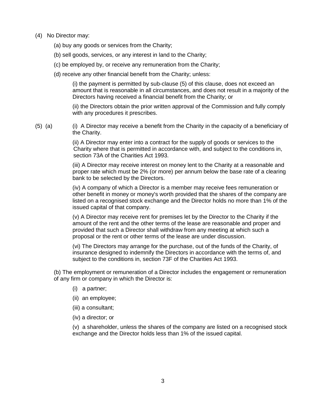- (4) No Director may:
	- (a) buy any goods or services from the Charity;
	- (b) sell goods, services, or any interest in land to the Charity;
	- (c) be employed by, or receive any remuneration from the Charity;
	- (d) receive any other financial benefit from the Charity; unless:

(i) the payment is permitted by sub-clause (5) of this clause, does not exceed an amount that is reasonable in all circumstances, and does not result in a majority of the Directors having received a financial benefit from the Charity; or

(ii) the Directors obtain the prior written approval of the Commission and fully comply with any procedures it prescribes.

(5) (a) (i) A Director may receive a benefit from the Charity in the capacity of a beneficiary of the Charity.

> (ii) A Director may enter into a contract for the supply of goods or services to the Charity where that is permitted in accordance with, and subject to the conditions in, section 73A of the Charities Act 1993.

(iii) A Director may receive interest on money lent to the Charity at a reasonable and proper rate which must be 2% (or more) per annum below the base rate of a clearing bank to be selected by the Directors.

(iv) A company of which a Director is a member may receive fees remuneration or other benefit in money or money's worth provided that the shares of the company are listed on a recognised stock exchange and the Director holds no more than 1% of the issued capital of that company.

(v) A Director may receive rent for premises let by the Director to the Charity if the amount of the rent and the other terms of the lease are reasonable and proper and provided that such a Director shall withdraw from any meeting at which such a proposal or the rent or other terms of the lease are under discussion.

(vi) The Directors may arrange for the purchase, out of the funds of the Charity, of insurance designed to indemnify the Directors in accordance with the terms of, and subject to the conditions in, section 73F of the Charities Act 1993.

(b) The employment or remuneration of a Director includes the engagement or remuneration of any firm or company in which the Director is:

- (i) a partner;
- (ii) an employee;
- (iii) a consultant;
- (iv) a director; or

(v) a shareholder, unless the shares of the company are listed on a recognised stock exchange and the Director holds less than 1% of the issued capital.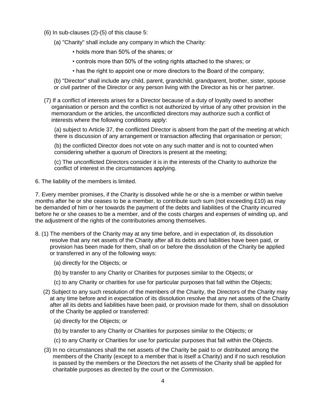- (6) In sub-clauses (2)-(5) of this clause 5:
	- (a) "Charity" shall include any company in which the Charity:
		- holds more than 50% of the shares; or
		- controls more than 50% of the voting rights attached to the shares; or
		- has the right to appoint one or more directors to the Board of the company;

(b) "Director" shall include any child, parent, grandchild, grandparent, brother, sister, spouse or civil partner of the Director or any person living with the Director as his or her partner.

(7) If a conflict of interests arises for a Director because of a duty of loyalty owed to another organisation or person and the conflict is not authorized by virtue of any other provision in the memorandum or the articles, the unconflicted directors may authorize such a conflict of interests where the following conditions apply:

(a) subject to Article 37, the conflicted Director is absent from the part of the meeting at which there is discussion of any arrangement or transaction affecting that organisation or person;

(b) the conflicted Director does not vote on any such matter and is not to counted when considering whether a quorum of Directors is present at the meeting;

(c) The unconflicted Directors consider it is in the interests of the Charity to authorize the conflict of interest in the circumstances applying.

6. The liability of the members is limited.

7. Every member promises, if the Charity is dissolved while he or she is a member or within twelve months after he or she ceases to be a member, to contribute such sum (not exceeding £10) as may be demanded of him or her towards the payment of the debts and liabilities of the Charity incurred before he or she ceases to be a member, and of the costs charges and expenses of winding up, and the adjustment of the rights of the contributories among themselves.

- 8. (1) The members of the Charity may at any time before, and in expectation of, its dissolution resolve that any net assets of the Charity after all its debts and liabilities have been paid, or provision has been made for them, shall on or before the dissolution of the Charity be applied or transferred in any of the following ways:
	- (a) directly for the Objects; or
	- (b) by transfer to any Charity or Charities for purposes similar to the Objects; or
	- (c) to any Charity or charities for use for particular purposes that fall within the Objects;
	- (2) Subject to any such resolution of the members of the Charity, the Directors of the Charity may at any time before and in expectation of its dissolution resolve that any net assets of the Charity after all its debts and liabilities have been paid, or provision made for them, shall on dissolution of the Charity be applied or transferred:
		- (a) directly for the Objects; or
		- (b) by transfer to any Charity or Charities for purposes similar to the Objects; or
		- (c) to any Charity or Charities for use for particular purposes that fall within the Objects.
	- (3) In no circumstances shall the net assets of the Charity be paid to or distributed among the members of the Charity (except to a member that is itself a Charity) and if no such resolution is passed by the members or the Directors the net assets of the Charity shall be applied for charitable purposes as directed by the court or the Commission.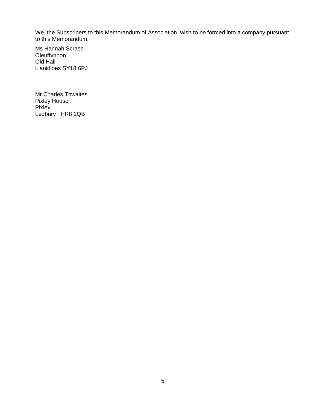We, the Subscribers to this Memorandum of Association, wish to be formed into a company pursuant to this Memorandum.

Ms Hannah Scrase **Oleuffynnon** Old Hall Llanidloes SY18 6PJ

Mr Charles Thwaites Pixley House **Pixley** Ledbury HR8 2QB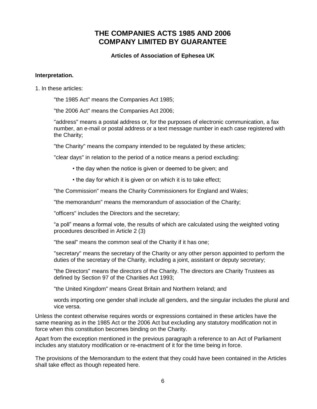# **THE COMPANIES ACTS 1985 AND 2006 COMPANY LIMITED BY GUARANTEE**

## **Articles of Association of Ephesea UK**

#### **Interpretation.**

1. In these articles:

"the 1985 Act" means the Companies Act 1985;

"the 2006 Act" means the Companies Act 2006;

"address" means a postal address or, for the purposes of electronic communication, a fax number, an e-mail or postal address or a text message number in each case registered with the Charity;

"the Charity" means the company intended to be regulated by these articles;

"clear days" in relation to the period of a notice means a period excluding:

- the day when the notice is given or deemed to be given; and
- the day for which it is given or on which it is to take effect;

"the Commission" means the Charity Commissioners for England and Wales;

"the memorandum" means the memorandum of association of the Charity;

"officers" includes the Directors and the secretary;

"a poll" means a formal vote, the results of which are calculated using the weighted voting procedures described in Article 2 (3)

"the seal" means the common seal of the Charity if it has one;

"secretary" means the secretary of the Charity or any other person appointed to perform the duties of the secretary of the Charity, including a joint, assistant or deputy secretary;

"the Directors" means the directors of the Charity. The directors are Charity Trustees as defined by Section 97 of the Charities Act 1993;

"the United Kingdom" means Great Britain and Northern Ireland; and

words importing one gender shall include all genders, and the singular includes the plural and vice versa.

Unless the context otherwise requires words or expressions contained in these articles have the same meaning as in the 1985 Act or the 2006 Act but excluding any statutory modification not in force when this constitution becomes binding on the Charity.

Apart from the exception mentioned in the previous paragraph a reference to an Act of Parliament includes any statutory modification or re-enactment of it for the time being in force.

The provisions of the Memorandum to the extent that they could have been contained in the Articles shall take effect as though repeated here.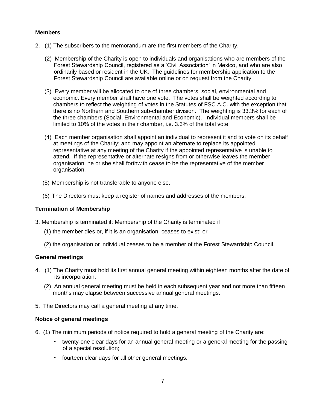## **Members**

- 2. (1) The subscribers to the memorandum are the first members of the Charity.
	- (2) Membership of the Charity is open to individuals and organisations who are members of the Forest Stewardship Council, registered as a 'Civil Association' in Mexico, and who are also ordinarily based or resident in the UK. The guidelines for membership application to the Forest Stewardship Council are available online or on request from the Charity
	- (3) Every member will be allocated to one of three chambers; social, environmental and economic. Every member shall have one vote. The votes shall be weighted according to chambers to reflect the weighting of votes in the Statutes of FSC A.C. with the exception that there is no Northern and Southern sub-chamber division. The weighting is 33.3% for each of the three chambers (Social, Environmental and Economic). Individual members shall be limited to 10% of the votes in their chamber, i.e. 3.3% of the total vote.
	- (4) Each member organisation shall appoint an individual to represent it and to vote on its behalf at meetings of the Charity; and may appoint an alternate to replace its appointed representative at any meeting of the Charity if the appointed representative is unable to attend. If the representative or alternate resigns from or otherwise leaves the member organisation, he or she shall forthwith cease to be the representative of the member organisation.
	- (5) Membership is not transferable to anyone else.
	- (6) The Directors must keep a register of names and addresses of the members.

# **Termination of Membership**

- 3. Membership is terminated if: Membership of the Charity is terminated if
	- (1) the member dies or, if it is an organisation, ceases to exist; or
	- (2) the organisation or individual ceases to be a member of the Forest Stewardship Council.

#### **General meetings**

- 4. (1) The Charity must hold its first annual general meeting within eighteen months after the date of its incorporation.
	- (2) An annual general meeting must be held in each subsequent year and not more than fifteen months may elapse between successive annual general meetings.
- 5. The Directors may call a general meeting at any time.

#### **Notice of general meetings**

- 6. (1) The minimum periods of notice required to hold a general meeting of the Charity are:
	- twenty-one clear days for an annual general meeting or a general meeting for the passing of a special resolution;
	- fourteen clear days for all other general meetings.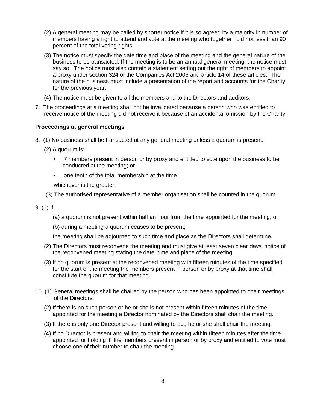- (2) A general meeting may be called by shorter notice if it is so agreed by a majority in number of members having a right to attend and vote at the meeting who together hold not less than 90 percent of the total voting rights.
- (3) The notice must specify the date time and place of the meeting and the general nature of the business to be transacted. If the meeting is to be an annual general meeting, the notice must say so. The notice must also contain a statement setting out the right of members to appoint a proxy under section 324 of the Companies Act 2006 and article 14 of these articles. The nature of the business must include a presentation of the report and accounts for the Charity for the previous year.
- (4) The notice must be given to all the members and to the Directors and auditors.
- 7. The proceedings at a meeting shall not be invalidated because a person who was entitled to receive notice of the meeting did not receive it because of an accidental omission by the Charity.

# **Proceedings at general meetings**

- 8. (1) No business shall be transacted at any general meeting unless a quorum is present.
	- (2) A quorum is:
		- 7 members present in person or by proxy and entitled to vote upon the business to be conducted at the meeting; or
		- one tenth of the total membership at the time

whichever is the greater.

- (3) The authorised representative of a member organisation shall be counted in the quorum.
- 9. (1) If:
	- (a) a quorum is not present within half an hour from the time appointed for the meeting; or
	- (b) during a meeting a quorum ceases to be present;

the meeting shall be adjourned to such time and place as the Directors shall determine.

- (2) The Directors must reconvene the meeting and must give at least seven clear days' notice of the reconvened meeting stating the date, time and place of the meeting.
- (3) If no quorum is present at the reconvened meeting with fifteen minutes of the time specified for the start of the meeting the members present in person or by proxy at that time shall constitute the quorum for that meeting.
- 10. (1) General meetings shall be chaired by the person who has been appointed to chair meetings of the Directors.
	- (2) If there is no such person or he or she is not present within fifteen minutes of the time appointed for the meeting a Director nominated by the Directors shall chair the meeting.
	- (3) If there is only one Director present and willing to act, he or she shall chair the meeting.
	- (4) If no Director is present and willing to chair the meeting within fifteen minutes after the time appointed for holding it, the members present in person or by proxy and entitled to vote must choose one of their number to chair the meeting.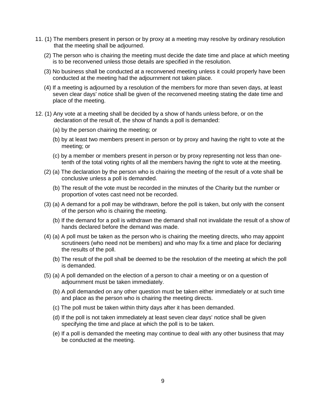- 11. (1) The members present in person or by proxy at a meeting may resolve by ordinary resolution that the meeting shall be adjourned.
	- (2) The person who is chairing the meeting must decide the date time and place at which meeting is to be reconvened unless those details are specified in the resolution.
	- (3) No business shall be conducted at a reconvened meeting unless it could properly have been conducted at the meeting had the adjournment not taken place.
	- (4) If a meeting is adjourned by a resolution of the members for more than seven days, at least seven clear days' notice shall be given of the reconvened meeting stating the date time and place of the meeting.
- 12. (1) Any vote at a meeting shall be decided by a show of hands unless before, or on the declaration of the result of, the show of hands a poll is demanded:
	- (a) by the person chairing the meeting; or
	- (b) by at least two members present in person or by proxy and having the right to vote at the meeting; or
	- (c) by a member or members present in person or by proxy representing not less than onetenth of the total voting rights of all the members having the right to vote at the meeting.
	- (2) (a) The declaration by the person who is chairing the meeting of the result of a vote shall be conclusive unless a poll is demanded.
		- (b) The result of the vote must be recorded in the minutes of the Charity but the number or proportion of votes cast need not be recorded.
	- (3) (a) A demand for a poll may be withdrawn, before the poll is taken, but only with the consent of the person who is chairing the meeting.
		- (b) If the demand for a poll is withdrawn the demand shall not invalidate the result of a show of hands declared before the demand was made.
	- (4) (a) A poll must be taken as the person who is chairing the meeting directs, who may appoint scrutineers (who need not be members) and who may fix a time and place for declaring the results of the poll.
		- (b) The result of the poll shall be deemed to be the resolution of the meeting at which the poll is demanded.
	- (5) (a) A poll demanded on the election of a person to chair a meeting or on a question of adjournment must be taken immediately.
		- (b) A poll demanded on any other question must be taken either immediately or at such time and place as the person who is chairing the meeting directs.
		- (c) The poll must be taken within thirty days after it has been demanded.
		- (d) If the poll is not taken immediately at least seven clear days' notice shall be given specifying the time and place at which the poll is to be taken.
		- (e) If a poll is demanded the meeting may continue to deal with any other business that may be conducted at the meeting.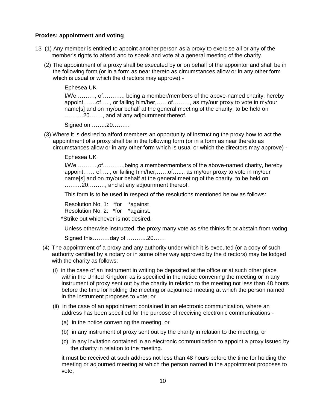#### **Proxies: appointment and voting**

- 13 (1) Any member is entitled to appoint another person as a proxy to exercise all or any of the member's rights to attend and to speak and vote at a general meeting of the charity.
	- (2) The appointment of a proxy shall be executed by or on behalf of the appointor and shall be in the following form (or in a form as near thereto as circumstances allow or in any other form which is usual or which the directors may approve) -

Ephesea UK

I/We,………, of……….., being a member/members of the above-named charity, hereby appoint…….of….., or failing him/her,……of………, as my/our proxy to vote in my/our name[s] and on my/our behalf at the general meeting of the charity, to be held on ……….20……., and at any adjournment thereof.

Signed on ……..20………

(3) Where it is desired to afford members an opportunity of instructing the proxy how to act the appointment of a proxy shall be in the following form (or in a form as near thereto as circumstances allow or in any other form which is usual or which the directors may approve) -

Ephesea UK

I/We,……….,of………..,being a member/members of the above-named charity, hereby appoint…… of….., or failing him/her,……of…..., as my/our proxy to vote in my/our name[s] and on my/our behalf at the general meeting of the charity, to be held on ………20………, and at any adjournment thereof.

This form is to be used in respect of the resolutions mentioned below as follows:

Resolution No. 1: \*for \*against Resolution No. 2: \*for \*against.

\*Strike out whichever is not desired.

Unless otherwise instructed, the proxy many vote as s/he thinks fit or abstain from voting.

Signed this………day of ………..20……

- (4) The appointment of a proxy and any authority under which it is executed (or a copy of such authority certified by a notary or in some other way approved by the directors) may be lodged with the charity as follows:
	- (i) in the case of an instrument in writing be deposited at the office or at such other place within the United Kingdom as is specified in the notice convening the meeting or in any instrument of proxy sent out by the charity in relation to the meeting not less than 48 hours before the time for holding the meeting or adjourned meeting at which the person named in the instrument proposes to vote; or
	- (ii) in the case of an appointment contained in an electronic communication, where an address has been specified for the purpose of receiving electronic communications -
		- (a) in the notice convening the meeting, or
		- (b) in any instrument of proxy sent out by the charity in relation to the meeting, or
		- (c) in any invitation contained in an electronic communication to appoint a proxy issued by the charity in relation to the meeting.

it must be received at such address not less than 48 hours before the time for holding the meeting or adjourned meeting at which the person named in the appointment proposes to vote;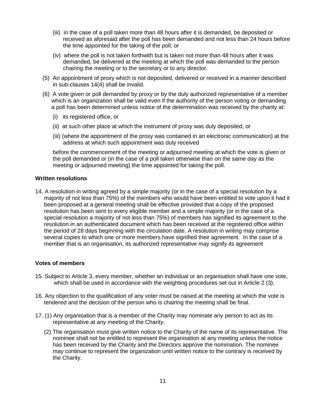- (iii) in the case of a poll taken more than 48 hours after it is demanded, be deposited or received as aforesaid after the poll has been demanded and not less than 24 hours before the time appointed for the taking of the poll; or
- (iv) where the poll is not taken forthwith but is taken not more than 48 hours after it was demanded, be delivered at the meeting at which the poll was demanded to the person chairing the meeting or to the secretary or to any director.
- (5) An appointment of proxy which is not deposited, delivered or received in a manner described in sub-clauses 14(4) shall be invalid.
- (6) A vote given or poll demanded by proxy or by the duly authorized representative of a member which is an organization shall be valid even if the authority of the person voting or demanding a poll has been determined unless notice of the determination was received by the charity at:
	- (i) its registered office, or
	- (ii) at such other place at which the instrument of proxy was duly deposited, or
	- (iii) (where the appointment of the proxy was contained in an electronic communication) at the address at which such appointment was duly received

before the commencement of the meeting or adjourned meeting at which the vote is given or the poll demanded or (in the case of a poll taken otherwise than on the same day as the meeting or adjourned meeting) the time appointed for taking the poll.

#### **Written resolutions**

14. A resolution in writing agreed by a simple majority (or in the case of a special resolution by a majority of not less than 75%) of the members who would have been entitled to vote upon it had it been proposed at a general meeting shall be effective provided that a copy of the proposed resolution has been sent to every eligible member and a simple majority (or in the case of a special resolution a majority of not less than 75%) of members has signified its agreement to the resolution in an authenticated document which has been received at the registered office within the period of 28 days beginning with the circulation date. A resolution in writing may comprise several copies to which one or more members have signified their agreement. In the case of a member that is an organisation, its authorized representative may signify its agreement

#### **Votes of members**

- 15. Subject to Article 3, every member, whether an individual or an organisation shall have one vote, which shall be used in accordance with the weighting procedures set out in Article 2 (3).
- 16. Any objection to the qualification of any voter must be raised at the meeting at which the vote is tendered and the decision of the person who is chairing the meeting shall be final.
- 17. (1) Any organisation that is a member of the Charity may nominate any person to act as its representative at any meeting of the Charity.
	- (2) The organisation must give written notice to the Charity of the name of its representative. The nominee shall not be entitled to represent the organisation at any meeting unless the notice has been received by the Charity and the Directors approve the nomination. The nominee may continue to represent the organization until written notice to the contrary is received by the Charity.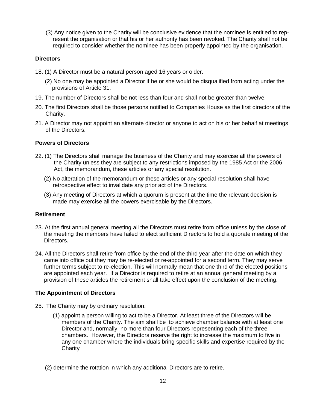(3) Any notice given to the Charity will be conclusive evidence that the nominee is entitled to represent the organisation or that his or her authority has been revoked. The Charity shall not be required to consider whether the nominee has been properly appointed by the organisation.

# **Directors**

- 18. (1) A Director must be a natural person aged 16 years or older.
	- (2) No one may be appointed a Director if he or she would be disqualified from acting under the provisions of Article 31.
- 19. The number of Directors shall be not less than four and shall not be greater than twelve.
- 20. The first Directors shall be those persons notified to Companies House as the first directors of the Charity.
- 21. A Director may not appoint an alternate director or anyone to act on his or her behalf at meetings of the Directors.

# **Powers of Directors**

- 22. (1) The Directors shall manage the business of the Charity and may exercise all the powers of the Charity unless they are subject to any restrictions imposed by the 1985 Act or the 2006 Act, the memorandum, these articles or any special resolution.
	- (2) No alteration of the memorandum or these articles or any special resolution shall have retrospective effect to invalidate any prior act of the Directors.
	- (3) Any meeting of Directors at which a quorum is present at the time the relevant decision is made may exercise all the powers exercisable by the Directors.

# **Retirement**

- 23. At the first annual general meeting all the Directors must retire from office unless by the close of the meeting the members have failed to elect sufficient Directors to hold a quorate meeting of the Directors.
- 24. All the Directors shall retire from office by the end of the third year after the date on which they came into office but they may be re-elected or re-appointed for a second term. They may serve further terms subject to re-election. This will normally mean that one third of the elected positions are appointed each year. If a Director is required to retire at an annual general meeting by a provision of these articles the retirement shall take effect upon the conclusion of the meeting.

# **The Appointment of Directors**

- 25. The Charity may by ordinary resolution:
	- (1) appoint a person willing to act to be a Director. At least three of the Directors will be members of the Charity. The aim shall be to achieve chamber balance with at least one Director and, normally, no more than four Directors representing each of the three chambers. However, the Directors reserve the right to increase the maximum to five in any one chamber where the individuals bring specific skills and expertise required by the **Charity**
	- (2) determine the rotation in which any additional Directors are to retire.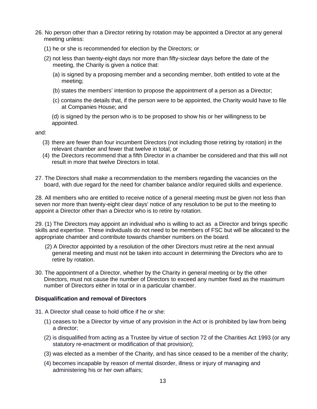- 26. No person other than a Director retiring by rotation may be appointed a Director at any general meeting unless:
	- (1) he or she is recommended for election by the Directors; or
	- (2) not less than twenty-eight days nor more than fifty-sixclear days before the date of the meeting, the Charity is given a notice that:
		- (a) is signed by a proposing member and a seconding member, both entitled to vote at the meeting;
		- (b) states the members' intention to propose the appointment of a person as a Director;
		- (c) contains the details that, if the person were to be appointed, the Charity would have to file at Companies House; and

(d) is signed by the person who is to be proposed to show his or her willingness to be appointed.

and:

- (3) there are fewer than four incumbent Directors (not including those retiring by rotation) in the relevant chamber and fewer that twelve in total; or
- (4) the Directors recommend that a fifth Director in a chamber be considered and that this will not result in more that twelve Directors in total.
- 27. The Directors shall make a recommendation to the members regarding the vacancies on the board, with due regard for the need for chamber balance and/or required skills and experience.

28. All members who are entitled to receive notice of a general meeting must be given not less than seven nor more than twenty-eight clear days' notice of any resolution to be put to the meeting to appoint a Director other than a Director who is to retire by rotation.

29. (1) The Directors may appoint an individual who is willing to act as a Director and brings specific skills and expertise. These individuals do not need to be members of FSC but will be allocated to the appropriate chamber and contribute towards chamber numbers on the board.

- (2) A Director appointed by a resolution of the other Directors must retire at the next annual general meeting and must not be taken into account in determining the Directors who are to retire by rotation.
- 30. The appointment of a Director, whether by the Charity in general meeting or by the other Directors, must not cause the number of Directors to exceed any number fixed as the maximum number of Directors either in total or in a particular chamber.

# **Disqualification and removal of Directors**

- 31. A Director shall cease to hold office if he or she:
	- (1) ceases to be a Director by virtue of any provision in the Act or is prohibited by law from being a director;
	- (2) is disqualified from acting as a Trustee by virtue of section 72 of the Charities Act 1993 (or any statutory re-enactment or modification of that provision);
	- (3) was elected as a member of the Charity, and has since ceased to be a member of the charity;
	- (4) becomes incapable by reason of mental disorder, illness or injury of managing and administering his or her own affairs;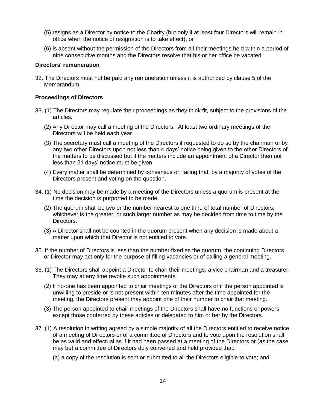- (5) resigns as a Director by notice to the Charity (but only if at least four Directors will remain in office when the notice of resignation is to take effect); or
- (6) is absent without the permission of the Directors from all their meetings held within a period of nine consecutive months and the Directors resolve that his or her office be vacated.

#### **Directors' remuneration**

32. The Directors must not be paid any remuneration unless it is authorized by clause 5 of the Memorandum.

## **Proceedings of Directors**

- 33. (1) The Directors may regulate their proceedings as they think fit, subject to the provisions of the articles.
	- (2) Any Director may call a meeting of the Directors. At least two ordinary meetings of the Directors will be held each year.
	- (3) The secretary must call a meeting of the Directors if requested to do so by the chairman or by any two other Directors upon not less than 4 days' notice being given to the other Directors of the matters to be discussed but if the matters include an appointment of a Director then not less than 21 days' notice must be given.
	- (4) Every matter shall be determined by consensus or, failing that, by a majority of votes of the Directors present and voting on the question.
- 34. (1) No decision may be made by a meeting of the Directors unless a quorum is present at the time the decision is purported to be made.
	- (2) The quorum shall be two or the number nearest to one third of total number of Directors, whichever is the greater, or such larger number as may be decided from time to time by the Directors.
	- (3) A Director shall not be counted in the quorum present when any decision is made about a matter upon which that Director is not entitled to vote.
- 35. If the number of Directors is less than the number fixed as the quorum, the continuing Directors or Director may act only for the purpose of filling vacancies or of calling a general meeting.
- 36. (1) The Directors shall appoint a Director to chair their meetings, a vice chairman and a treasurer. They may at any time revoke such appointments.
	- (2) If no-one has been appointed to chair meetings of the Directors or if the person appointed is unwilling to preside or is not present within ten minutes after the time appointed for the meeting, the Directors present may appoint one of their number to chair that meeting.
	- (3) The person appointed to chair meetings of the Directors shall have no functions or powers except those conferred by these articles or delegated to him or her by the Directors.
- 37. (1) A resolution in writing agreed by a simple majority of all the Directors entitled to receive notice of a meeting of Directors or of a committee of Directors and to vote upon the resolution shall be as valid and effectual as if it had been passed at a meeting of the Directors or (as the case may be) a committee of Directors duly convened and held provided that:
	- (a) a copy of the resolution is sent or submitted to all the Directors eligible to vote; and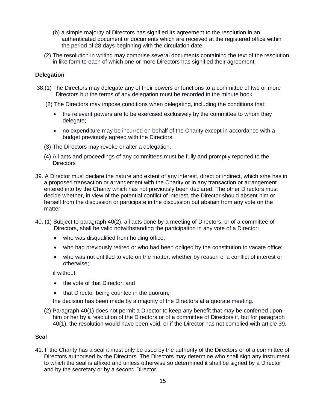- (b) a simple majority of Directors has signified its agreement to the resolution in an authenticated document or documents which are received at the registered office within the period of 28 days beginning with the circulation date.
- (2) The resolution in writing may comprise several documents containing the text of the resolution in like form to each of which one or more Directors has signified their agreement.

## **Delegation**

- 38.(1) The Directors may delegate any of their powers or functions to a committee of two or more Directors but the terms of any delegation must be recorded in the minute book.
	- (2) The Directors may impose conditions when delegating, including the conditions that:
		- the relevant powers are to be exercised exclusively by the committee to whom they delegate;
		- no expenditure may be incurred on behalf of the Charity except in accordance with a budget previously agreed with the Directors.
	- (3) The Directors may revoke or alter a delegation.
	- (4) All acts and proceedings of any committees must be fully and promptly reported to the **Directors**
- 39. A Director must declare the nature and extent of any interest, direct or indirect, which s/he has in a proposed transaction or arrangement with the Charity or in any transaction or arrangement entered into by the Charity which has not previously been declared. The other Directors must decide whether, in view of the potential conflict of interest, the Director should absent him or herself from the discussion or participate in the discussion but abstain from any vote on the matter.
- 40. (1) Subject to paragraph 40(2), all acts done by a meeting of Directors, or of a committee of Directors, shall be valid notwithstanding the participation in any vote of a Director:
	- who was disqualified from holding office;
	- who had previously retired or who had been obliged by the constitution to vacate office;
	- who was not entitled to vote on the matter, whether by reason of a conflict of interest or otherwise;

if without:

- the vote of that Director; and
- that Director being counted in the quorum;

the decision has been made by a majority of the Directors at a quorate meeting.

(2) Paragraph 40(1) does not permit a Director to keep any benefit that may be conferred upon him or her by a resolution of the Directors or of a committee of Directors if, but for paragraph 40(1), the resolution would have been void, or if the Director has not complied with article 39.

#### **Seal**

41. If the Charity has a seal it must only be used by the authority of the Directors or of a committee of Directors authorised by the Directors. The Directors may determine who shall sign any instrument to which the seal is affixed and unless otherwise so determined it shall be signed by a Director and by the secretary or by a second Director.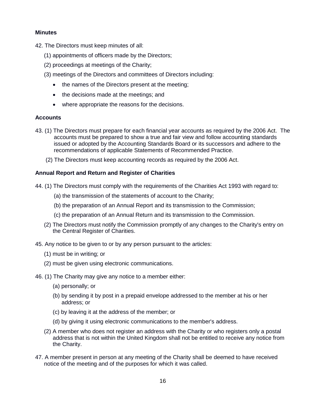# **Minutes**

- 42. The Directors must keep minutes of all:
	- (1) appointments of officers made by the Directors;
	- (2) proceedings at meetings of the Charity;
	- (3) meetings of the Directors and committees of Directors including:
		- the names of the Directors present at the meeting;
		- the decisions made at the meetings; and
		- where appropriate the reasons for the decisions.

#### **Accounts**

- 43. (1) The Directors must prepare for each financial year accounts as required by the 2006 Act. The accounts must be prepared to show a true and fair view and follow accounting standards issued or adopted by the Accounting Standards Board or its successors and adhere to the recommendations of applicable Statements of Recommended Practice.
	- (2) The Directors must keep accounting records as required by the 2006 Act.

#### **Annual Report and Return and Register of Charities**

- 44. (1) The Directors must comply with the requirements of the Charities Act 1993 with regard to:
	- (a) the transmission of the statements of account to the Charity;
	- (b) the preparation of an Annual Report and its transmission to the Commission;
	- (c) the preparation of an Annual Return and its transmission to the Commission.
	- (2) The Directors must notify the Commission promptly of any changes to the Charity's entry on the Central Register of Charities.
- 45. Any notice to be given to or by any person pursuant to the articles:
	- (1) must be in writing; or
	- (2) must be given using electronic communications.
- 46. (1) The Charity may give any notice to a member either:
	- (a) personally; or
	- (b) by sending it by post in a prepaid envelope addressed to the member at his or her address; or
	- (c) by leaving it at the address of the member; or
	- (d) by giving it using electronic communications to the member's address.
	- (2) A member who does not register an address with the Charity or who registers only a postal address that is not within the United Kingdom shall not be entitled to receive any notice from the Charity.
- 47. A member present in person at any meeting of the Charity shall be deemed to have received notice of the meeting and of the purposes for which it was called.